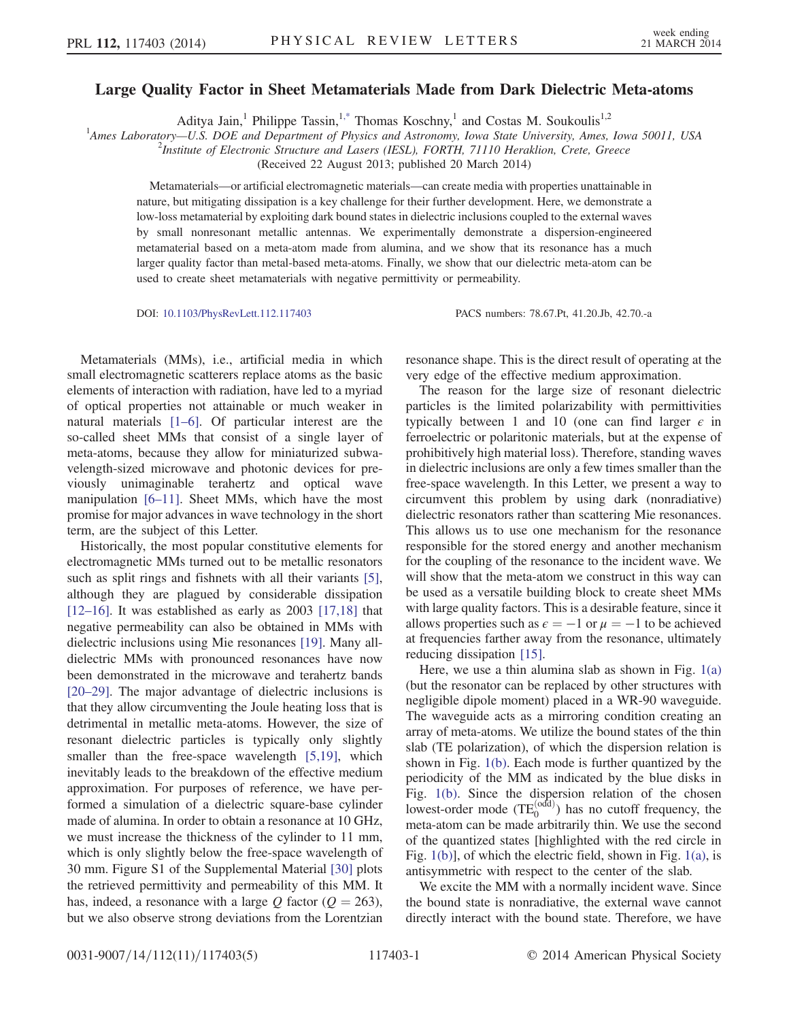## Large Quality Factor in Sheet Metamaterials Made from Dark Dielectric Meta-atoms

Aditya Jain,<sup>1</sup> Philippe Tassin,<sup>1[,\\*](#page-4-0)</sup> Thomas Koschny,<sup>1</sup> and Costas M. Soukoulis<sup>1,2</sup>

<span id="page-0-0"></span><sup>1</sup>Ames Laboratory—U.S. DOE and Department of Physics and Astronomy, Iowa State University, Ames, Iowa 50011, USA <sup>2</sup><br><sup>2</sup>Institute of Electronic Structure and Lasers (USI), EOPTH 71110 Haraldian, Crate, Crasses

<sup>2</sup>Institute of Electronic Structure and Lasers (IESL), FORTH, 71110 Heraklion, Crete, Greece

(Received 22 August 2013; published 20 March 2014)

Metamaterials—or artificial electromagnetic materials—can create media with properties unattainable in nature, but mitigating dissipation is a key challenge for their further development. Here, we demonstrate a low-loss metamaterial by exploiting dark bound states in dielectric inclusions coupled to the external waves by small nonresonant metallic antennas. We experimentally demonstrate a dispersion-engineered metamaterial based on a meta-atom made from alumina, and we show that its resonance has a much larger quality factor than metal-based meta-atoms. Finally, we show that our dielectric meta-atom can be used to create sheet metamaterials with negative permittivity or permeability.

DOI: [10.1103/PhysRevLett.112.117403](http://dx.doi.org/10.1103/PhysRevLett.112.117403) PACS numbers: 78.67.Pt, 41.20.Jb, 42.70.-a

Metamaterials (MMs), i.e., artificial media in which small electromagnetic scatterers replace atoms as the basic elements of interaction with radiation, have led to a myriad of optical properties not attainable or much weaker in natural materials [1–[6\].](#page-4-1) Of particular interest are the so-called sheet MMs that consist of a single layer of meta-atoms, because they allow for miniaturized subwavelength-sized microwave and photonic devices for previously unimaginable terahertz and optical wave manipulation [6–[11\]](#page-4-2). Sheet MMs, which have the most promise for major advances in wave technology in the short term, are the subject of this Letter.

Historically, the most popular constitutive elements for electromagnetic MMs turned out to be metallic resonators such as split rings and fishnets with all their variants [\[5\]](#page-4-3), although they are plagued by considerable dissipation  $[12–16]$  $[12–16]$ . It was established as early as 2003  $[17,18]$  that negative permeability can also be obtained in MMs with dielectric inclusions using Mie resonances [\[19\]](#page-4-6). Many alldielectric MMs with pronounced resonances have now been demonstrated in the microwave and terahertz bands [\[20](#page-4-7)–29]. The major advantage of dielectric inclusions is that they allow circumventing the Joule heating loss that is detrimental in metallic meta-atoms. However, the size of resonant dielectric particles is typically only slightly smaller than the free-space wavelength [\[5,19\]](#page-4-3), which inevitably leads to the breakdown of the effective medium approximation. For purposes of reference, we have performed a simulation of a dielectric square-base cylinder made of alumina. In order to obtain a resonance at 10 GHz, we must increase the thickness of the cylinder to 11 mm, which is only slightly below the free-space wavelength of 30 mm. Figure S1 of the Supplemental Material [\[30\]](#page-4-8) plots the retrieved permittivity and permeability of this MM. It has, indeed, a resonance with a large Q factor ( $Q = 263$ ), but we also observe strong deviations from the Lorentzian

resonance shape. This is the direct result of operating at the very edge of the effective medium approximation.

The reason for the large size of resonant dielectric particles is the limited polarizability with permittivities typically between 1 and 10 (one can find larger  $\epsilon$  in ferroelectric or polaritonic materials, but at the expense of prohibitively high material loss). Therefore, standing waves in dielectric inclusions are only a few times smaller than the free-space wavelength. In this Letter, we present a way to circumvent this problem by using dark (nonradiative) dielectric resonators rather than scattering Mie resonances. This allows us to use one mechanism for the resonance responsible for the stored energy and another mechanism for the coupling of the resonance to the incident wave. We will show that the meta-atom we construct in this way can be used as a versatile building block to create sheet MMs with large quality factors. This is a desirable feature, since it allows properties such as  $\epsilon = -1$  or  $\mu = -1$  to be achieved at frequencies farther away from the resonance, ultimately reducing dissipation [\[15\].](#page-4-9)

Here, we use a thin alumina slab as shown in Fig.  $1(a)$ (but the resonator can be replaced by other structures with negligible dipole moment) placed in a WR-90 waveguide. The waveguide acts as a mirroring condition creating an array of meta-atoms. We utilize the bound states of the thin slab (TE polarization), of which the dispersion relation is shown in Fig. [1\(b\)](#page-1-0). Each mode is further quantized by the periodicity of the MM as indicated by the blue disks in Fig. [1\(b\).](#page-1-0) Since the dispersion relation of the chosen lowest-order mode  $(TE_0^{(odd)})$  has no cutoff frequency, the meta-atom can be made arbitrarily thin. We use the second of the quantized states [highlighted with the red circle in Fig. [1\(b\)](#page-1-0)], of which the electric field, shown in Fig. [1\(a\),](#page-1-0) is antisymmetric with respect to the center of the slab.

We excite the MM with a normally incident wave. Since the bound state is nonradiative, the external wave cannot directly interact with the bound state. Therefore, we have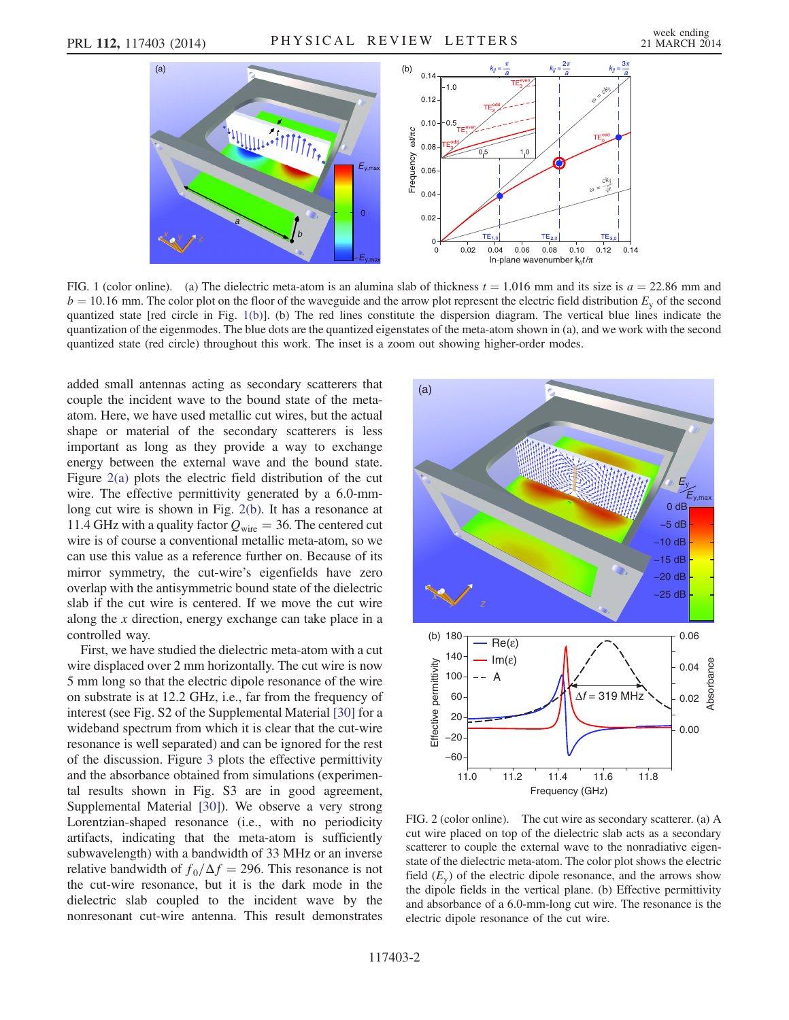<span id="page-1-0"></span>

FIG. 1 (color online). (a) The dielectric meta-atom is an alumina slab of thickness  $t = 1.016$  mm and its size is  $a = 22.86$  mm and  $b = 10.16$  mm. The color plot on the floor of the waveguide and the arrow plot represent the electric field distribution  $E<sub>v</sub>$  of the second quantized state [red circle in Fig. [1\(b\)](#page-1-0)]. (b) The red lines constitute the dispersion diagram. The vertical blue lines indicate the quantization of the eigenmodes. The blue dots are the quantized eigenstates of the meta-atom shown in (a), and we work with the second quantized state (red circle) throughout this work. The inset is a zoom out showing higher-order modes.

added small antennas acting as secondary scatterers that couple the incident wave to the bound state of the metaatom. Here, we have used metallic cut wires, but the actual shape or material of the secondary scatterers is less important as long as they provide a way to exchange energy between the external wave and the bound state. Figure [2\(a\)](#page-1-1) plots the electric field distribution of the cut wire. The effective permittivity generated by a 6.0-mmlong cut wire is shown in Fig. [2\(b\).](#page-1-1) It has a resonance at 11.4 GHz with a quality factor  $Q_{\text{wire}} = 36$ . The centered cut wire is of course a conventional metallic meta-atom, so we can use this value as a reference further on. Because of its mirror symmetry, the cut-wire's eigenfields have zero overlap with the antisymmetric bound state of the dielectric slab if the cut wire is centered. If we move the cut wire along the x direction, energy exchange can take place in a controlled way.

First, we have studied the dielectric meta-atom with a cut wire displaced over 2 mm horizontally. The cut wire is now 5 mm long so that the electric dipole resonance of the wire on substrate is at 12.2 GHz, i.e., far from the frequency of interest (see Fig. S2 of the Supplemental Material [\[30\]](#page-4-8) for a wideband spectrum from which it is clear that the cut-wire resonance is well separated) and can be ignored for the rest of the discussion. Figure [3](#page-2-0) plots the effective permittivity and the absorbance obtained from simulations (experimental results shown in Fig. S3 are in good agreement, Supplemental Material [\[30\]](#page-4-8)). We observe a very strong Lorentzian-shaped resonance (i.e., with no periodicity artifacts, indicating that the meta-atom is sufficiently subwavelength) with a bandwidth of 33 MHz or an inverse relative bandwidth of  $f_0/\Delta f = 296$ . This resonance is not the cut-wire resonance, but it is the dark mode in the dielectric slab coupled to the incident wave by the nonresonant cut-wire antenna. This result demonstrates

<span id="page-1-1"></span>

FIG. 2 (color online). The cut wire as secondary scatterer. (a) A cut wire placed on top of the dielectric slab acts as a secondary scatterer to couple the external wave to the nonradiative eigenstate of the dielectric meta-atom. The color plot shows the electric field  $(E_v)$  of the electric dipole resonance, and the arrows show the dipole fields in the vertical plane. (b) Effective permittivity and absorbance of a 6.0-mm-long cut wire. The resonance is the electric dipole resonance of the cut wire.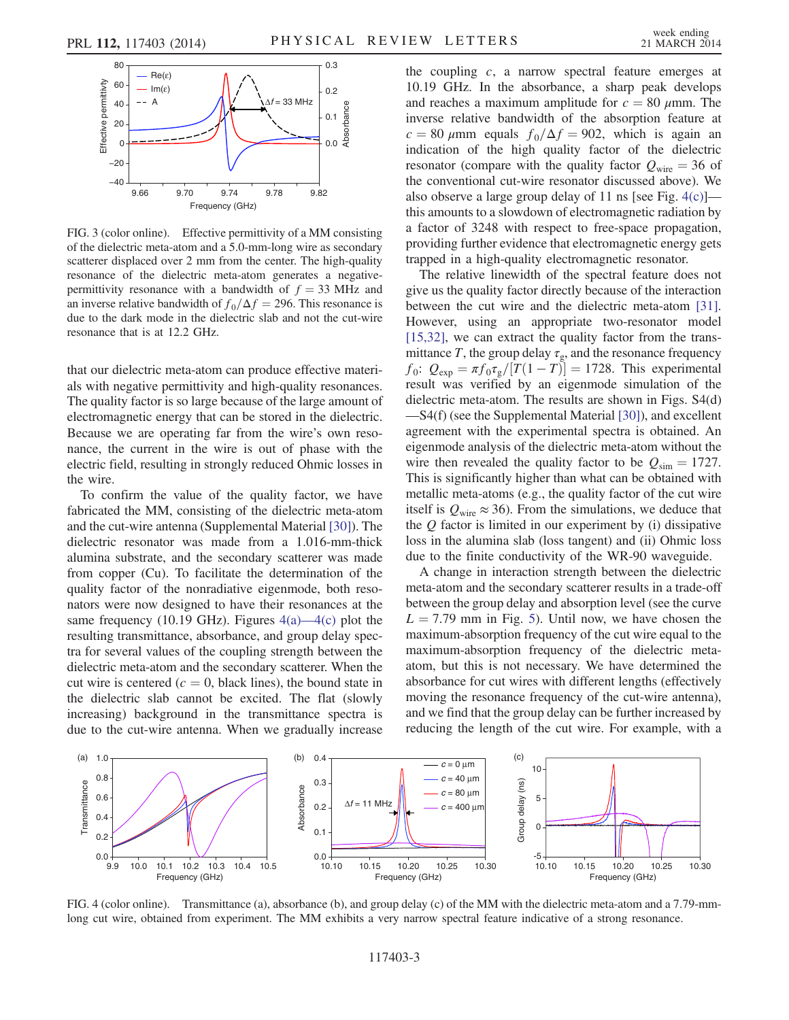<span id="page-2-0"></span>

FIG. 3 (color online). Effective permittivity of a MM consisting of the dielectric meta-atom and a 5.0-mm-long wire as secondary scatterer displaced over 2 mm from the center. The high-quality resonance of the dielectric meta-atom generates a negativepermittivity resonance with a bandwidth of  $f = 33$  MHz and an inverse relative bandwidth of  $f_0/\Delta f = 296$ . This resonance is due to the dark mode in the dielectric slab and not the cut-wire resonance that is at 12.2 GHz.

that our dielectric meta-atom can produce effective materials with negative permittivity and high-quality resonances. The quality factor is so large because of the large amount of electromagnetic energy that can be stored in the dielectric. Because we are operating far from the wire's own resonance, the current in the wire is out of phase with the electric field, resulting in strongly reduced Ohmic losses in the wire.

To confirm the value of the quality factor, we have fabricated the MM, consisting of the dielectric meta-atom and the cut-wire antenna (Supplemental Material [\[30\]\)](#page-4-8). The dielectric resonator was made from a 1.016-mm-thick alumina substrate, and the secondary scatterer was made from copper (Cu). To facilitate the determination of the quality factor of the nonradiative eigenmode, both resonators were now designed to have their resonances at the same frequency (10.19 GHz). Figures  $4(a)$ — $4(c)$  plot the resulting transmittance, absorbance, and group delay spectra for several values of the coupling strength between the dielectric meta-atom and the secondary scatterer. When the cut wire is centered ( $c = 0$ , black lines), the bound state in the dielectric slab cannot be excited. The flat (slowly increasing) background in the transmittance spectra is due to the cut-wire antenna. When we gradually increase the coupling  $c$ , a narrow spectral feature emerges at 10.19 GHz. In the absorbance, a sharp peak develops and reaches a maximum amplitude for  $c = 80 \mu$ mm. The inverse relative bandwidth of the absorption feature at  $c = 80 \mu \text{mm}$  equals  $f_0/\Delta f = 902$ , which is again an indication of the high quality factor of the dielectric resonator (compare with the quality factor  $Q_{\text{wire}} = 36$  of the conventional cut-wire resonator discussed above). We also observe a large group delay of 11 ns [see Fig.  $4(c)$ ] this amounts to a slowdown of electromagnetic radiation by a factor of 3248 with respect to free-space propagation, providing further evidence that electromagnetic energy gets trapped in a high-quality electromagnetic resonator.

The relative linewidth of the spectral feature does not give us the quality factor directly because of the interaction between the cut wire and the dielectric meta-atom [\[31\]](#page-4-10). However, using an appropriate two-resonator model [\[15,32\]](#page-4-9), we can extract the quality factor from the transmittance T, the group delay  $\tau_{g}$ , and the resonance frequency  $f_0$ :  $Q_{exp} = \pi f_0 \tau_g/[T(1 - T)] = 1728$ . This experimental result was verified by an eigenmode simulation of the dielectric meta-atom. The results are shown in Figs. S4(d) —S4(f) (see the Supplemental Material [\[30\]](#page-4-8)), and excellent agreement with the experimental spectra is obtained. An eigenmode analysis of the dielectric meta-atom without the wire then revealed the quality factor to be  $Q_{\text{sim}} = 1727$ . This is significantly higher than what can be obtained with metallic meta-atoms (e.g., the quality factor of the cut wire itself is  $Q_{\text{wire}} \approx 36$ ). From the simulations, we deduce that the  $Q$  factor is limited in our experiment by (i) dissipative loss in the alumina slab (loss tangent) and (ii) Ohmic loss due to the finite conductivity of the WR-90 waveguide.

A change in interaction strength between the dielectric meta-atom and the secondary scatterer results in a trade-off between the group delay and absorption level (see the curve  $L = 7.79$  mm in Fig. [5\)](#page-3-0). Until now, we have chosen the maximum-absorption frequency of the cut wire equal to the maximum-absorption frequency of the dielectric metaatom, but this is not necessary. We have determined the absorbance for cut wires with different lengths (effectively moving the resonance frequency of the cut-wire antenna), and we find that the group delay can be further increased by reducing the length of the cut wire. For example, with a

<span id="page-2-1"></span>

FIG. 4 (color online). Transmittance (a), absorbance (b), and group delay (c) of the MM with the dielectric meta-atom and a 7.79-mmlong cut wire, obtained from experiment. The MM exhibits a very narrow spectral feature indicative of a strong resonance.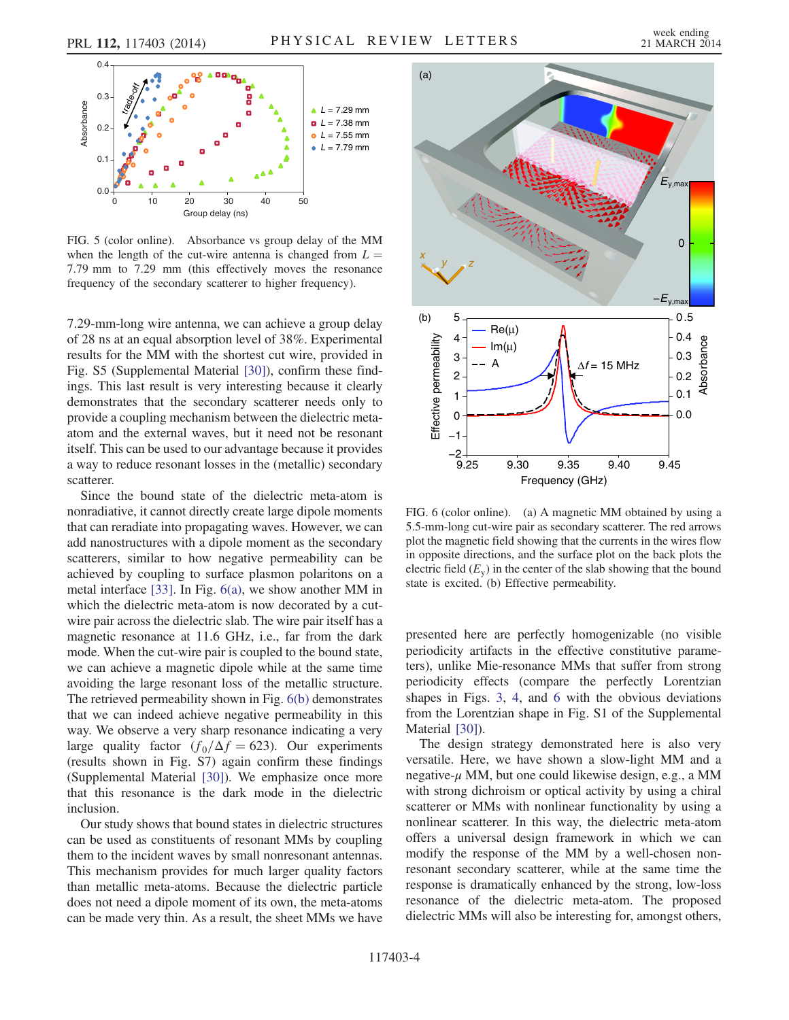<span id="page-3-0"></span>

FIG. 5 (color online). Absorbance vs group delay of the MM when the length of the cut-wire antenna is changed from  $L =$ 7.79 mm to 7.29 mm (this effectively moves the resonance frequency of the secondary scatterer to higher frequency).

7.29-mm-long wire antenna, we can achieve a group delay of 28 ns at an equal absorption level of 38%. Experimental results for the MM with the shortest cut wire, provided in Fig. S5 (Supplemental Material [\[30\]](#page-4-8)), confirm these findings. This last result is very interesting because it clearly demonstrates that the secondary scatterer needs only to provide a coupling mechanism between the dielectric metaatom and the external waves, but it need not be resonant itself. This can be used to our advantage because it provides a way to reduce resonant losses in the (metallic) secondary scatterer.

Since the bound state of the dielectric meta-atom is nonradiative, it cannot directly create large dipole moments that can reradiate into propagating waves. However, we can add nanostructures with a dipole moment as the secondary scatterers, similar to how negative permeability can be achieved by coupling to surface plasmon polaritons on a metal interface [\[33\]](#page-4-11). In Fig. [6\(a\),](#page-3-1) we show another MM in which the dielectric meta-atom is now decorated by a cutwire pair across the dielectric slab. The wire pair itself has a magnetic resonance at 11.6 GHz, i.e., far from the dark mode. When the cut-wire pair is coupled to the bound state, we can achieve a magnetic dipole while at the same time avoiding the large resonant loss of the metallic structure. The retrieved permeability shown in Fig. [6\(b\)](#page-3-1) demonstrates that we can indeed achieve negative permeability in this way. We observe a very sharp resonance indicating a very large quality factor  $(f_0/\Delta f = 623)$ . Our experiments (results shown in Fig. S7) again confirm these findings (Supplemental Material [\[30\]\)](#page-4-8). We emphasize once more that this resonance is the dark mode in the dielectric inclusion.

Our study shows that bound states in dielectric structures can be used as constituents of resonant MMs by coupling them to the incident waves by small nonresonant antennas. This mechanism provides for much larger quality factors than metallic meta-atoms. Because the dielectric particle does not need a dipole moment of its own, the meta-atoms can be made very thin. As a result, the sheet MMs we have

<span id="page-3-1"></span>

FIG. 6 (color online). (a) A magnetic MM obtained by using a 5.5-mm-long cut-wire pair as secondary scatterer. The red arrows plot the magnetic field showing that the currents in the wires flow in opposite directions, and the surface plot on the back plots the electric field  $(E_v)$  in the center of the slab showing that the bound state is excited. (b) Effective permeability.

presented here are perfectly homogenizable (no visible periodicity artifacts in the effective constitutive parameters), unlike Mie-resonance MMs that suffer from strong periodicity effects (compare the perfectly Lorentzian shapes in Figs. [3](#page-2-0), [4,](#page-2-1) and [6](#page-3-1) with the obvious deviations from the Lorentzian shape in Fig. S1 of the Supplemental Material [\[30\]\)](#page-4-8).

The design strategy demonstrated here is also very versatile. Here, we have shown a slow-light MM and a negative- $\mu$  MM, but one could likewise design, e.g., a MM with strong dichroism or optical activity by using a chiral scatterer or MMs with nonlinear functionality by using a nonlinear scatterer. In this way, the dielectric meta-atom offers a universal design framework in which we can modify the response of the MM by a well-chosen nonresonant secondary scatterer, while at the same time the response is dramatically enhanced by the strong, low-loss resonance of the dielectric meta-atom. The proposed dielectric MMs will also be interesting for, amongst others,